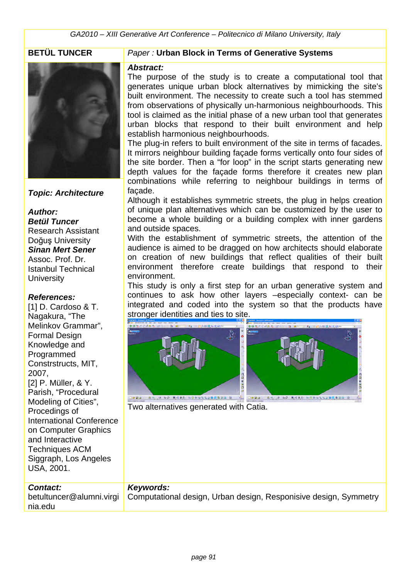

## *Topic: Architecture*

## *Author: Betül Tuncer* Research Assistant Doğuş University *Sinan Mert Sener* Assoc. Prof. Dr. Istanbul Technical **University**

## *References:*

[1] D. Cardoso & T. Nagakura, "The Melinkov Grammar", Formal Design Knowledge and Programmed Constrstructs, MIT, 2007, [2] P. Müller, & Y. Parish, "Procedural Modeling of Cities", Procedings of International Conference on Computer Graphics and Interactive Techniques ACM Siggraph, Los Angeles USA, 2001.

## *Contact:*

betultuncer@alumni.virgi nia.edu

## **BETÜL TUNCER** *Paper :* **Urban Block in Terms of Generative Systems**

### *Abstract:*

The purpose of the study is to create a computational tool that generates unique urban block alternatives by mimicking the site's built environment. The necessity to create such a tool has stemmed from observations of physically un-harmonious neighbourhoods. This tool is claimed as the initial phase of a new urban tool that generates urban blocks that respond to their built environment and help establish harmonious neighbourhoods.

The plug-in refers to built environment of the site in terms of facades. It mirrors neighbour building façade forms vertically onto four sides of the site border. Then a "for loop" in the script starts generating new depth values for the façade forms therefore it creates new plan combinations while referring to neighbour buildings in terms of façade.

Although it establishes symmetric streets, the plug in helps creation of unique plan alternatives which can be customized by the user to become a whole building or a building complex with inner gardens and outside spaces.

With the establishment of symmetric streets, the attention of the audience is aimed to be dragged on how architects should elaborate on creation of new buildings that reflect qualities of their built environment therefore create buildings that respond to their environment.

This study is only a first step for an urban generative system and continues to ask how other layers –especially context- can be integrated and coded into the system so that the products have stronger identities and ties to site.



Two alternatives generated with Catia.

## *Keywords:*

Computational design, Urban design, Responisive design, Symmetry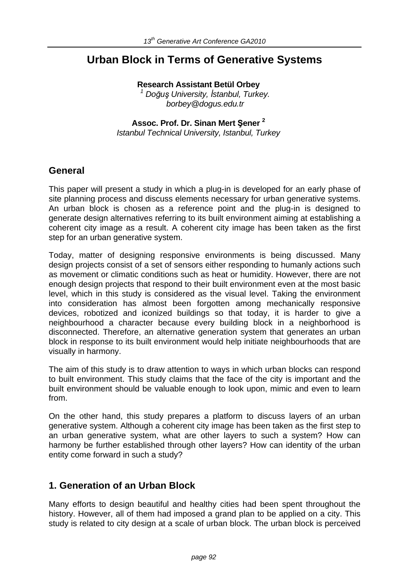# **Urban Block in Terms of Generative Systems**

**Research Assistant Betül Orbey**  *1 Doğuş University, İstanbul, Turkey. borbey@dogus.edu.tr*

# **Assoc. Prof. Dr. Sinan Mert Şener 2**

*Istanbul Technical University, Istanbul, Turkey*

# **General**

This paper will present a study in which a plug-in is developed for an early phase of site planning process and discuss elements necessary for urban generative systems. An urban block is chosen as a reference point and the plug-in is designed to generate design alternatives referring to its built environment aiming at establishing a coherent city image as a result. A coherent city image has been taken as the first step for an urban generative system.

Today, matter of designing responsive environments is being discussed. Many design projects consist of a set of sensors either responding to humanly actions such as movement or climatic conditions such as heat or humidity. However, there are not enough design projects that respond to their built environment even at the most basic level, which in this study is considered as the visual level. Taking the environment into consideration has almost been forgotten among mechanically responsive devices, robotized and iconized buildings so that today, it is harder to give a neighbourhood a character because every building block in a neighborhood is disconnected. Therefore, an alternative generation system that generates an urban block in response to its built environment would help initiate neighbourhoods that are visually in harmony.

The aim of this study is to draw attention to ways in which urban blocks can respond to built environment. This study claims that the face of the city is important and the built environment should be valuable enough to look upon, mimic and even to learn from.

On the other hand, this study prepares a platform to discuss layers of an urban generative system. Although a coherent city image has been taken as the first step to an urban generative system, what are other layers to such a system? How can harmony be further established through other layers? How can identity of the urban entity come forward in such a study?

# **1. Generation of an Urban Block**

Many efforts to design beautiful and healthy cities had been spent throughout the history. However, all of them had imposed a grand plan to be applied on a city. This study is related to city design at a scale of urban block. The urban block is perceived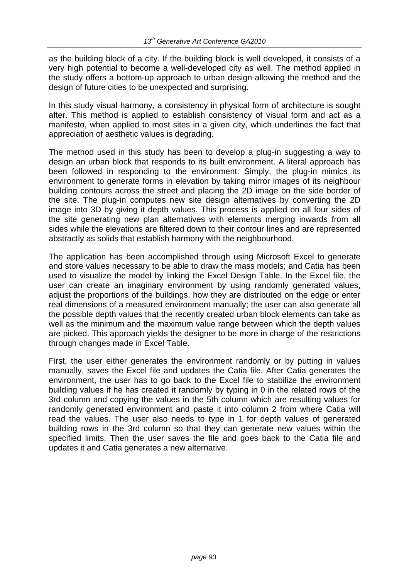as the building block of a city. If the building block is well developed, it consists of a very high potential to become a well-developed city as well. The method applied in the study offers a bottom-up approach to urban design allowing the method and the design of future cities to be unexpected and surprising.

In this study visual harmony, a consistency in physical form of architecture is sought after. This method is applied to establish consistency of visual form and act as a manifesto, when applied to most sites in a given city, which underlines the fact that appreciation of aesthetic values is degrading.

The method used in this study has been to develop a plug-in suggesting a way to design an urban block that responds to its built environment. A literal approach has been followed in responding to the environment. Simply, the plug-in mimics its environment to generate forms in elevation by taking mirror images of its neighbour building contours across the street and placing the 2D image on the side border of the site. The plug-in computes new site design alternatives by converting the 2D image into 3D by giving it depth values. This process is applied on all four sides of the site generating new plan alternatives with elements merging inwards from all sides while the elevations are filtered down to their contour lines and are represented abstractly as solids that establish harmony with the neighbourhood.

The application has been accomplished through using Microsoft Excel to generate and store values necessary to be able to draw the mass models; and Catia has been used to visualize the model by linking the Excel Design Table. In the Excel file, the user can create an imaginary environment by using randomly generated values, adjust the proportions of the buildings, how they are distributed on the edge or enter real dimensions of a measured environment manually; the user can also generate all the possible depth values that the recently created urban block elements can take as well as the minimum and the maximum value range between which the depth values are picked. This approach yields the designer to be more in charge of the restrictions through changes made in Excel Table.

First, the user either generates the environment randomly or by putting in values manually, saves the Excel file and updates the Catia file. After Catia generates the environment, the user has to go back to the Excel file to stabilize the environment building values if he has created it randomly by typing in 0 in the related rows of the 3rd column and copying the values in the 5th column which are resulting values for randomly generated environment and paste it into column 2 from where Catia will read the values. The user also needs to type in 1 for depth values of generated building rows in the 3rd column so that they can generate new values within the specified limits. Then the user saves the file and goes back to the Catia file and updates it and Catia generates a new alternative.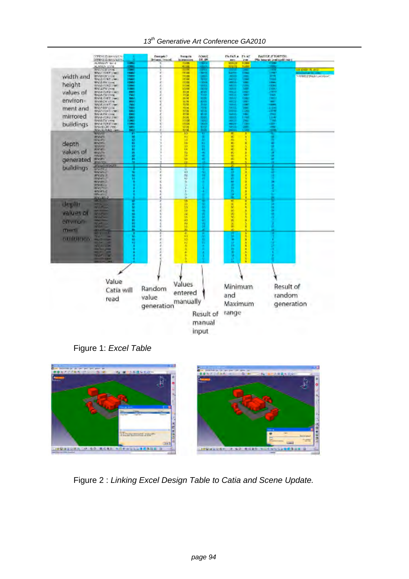

|               | <b>CONTRACTANTS OF CALL</b>                        |                                   | <b>Danigale?</b><br>times, Insyst | <b>Burgela</b><br><b>JERRIALES</b> | <b>ADMAR</b><br><b>DR. IN</b> | FUFAZLA.<br>m              | PV AT<br><b>CH</b>        | <b>NATION FTLOMING</b><br>The house of grading this rate |                             |
|---------------|----------------------------------------------------|-----------------------------------|-----------------------------------|------------------------------------|-------------------------------|----------------------------|---------------------------|----------------------------------------------------------|-----------------------------|
|               | SERIKE ZAMANIERE<br>MANGE LINE                     | 12050<br>$\overline{\phantom{a}}$ |                                   | <b>DOM:</b>                        |                               | <b>BWV3</b>                | <b>Forms</b>              |                                                          |                             |
|               | <b>MAYACH FUM</b>                                  |                                   |                                   | 4,000<br>99                        |                               | 400                        |                           |                                                          | <b>Hill Creative Str. A</b> |
| width and     | <b>RATYLES (Sec)</b><br><b>INVASILAR ANCHE</b>     | ≡<br><b>There</b>                 | c<br>E                            | <b>Inge</b>                        | m v                           | <b>Baltim</b>              | <b>Thur</b>               | <b>DESCRIPTION</b>                                       | <b>NUMBER SHOPLAN</b>       |
|               | <b>BALLAYE 6/5 cmm</b>                             | <b>Algorithment</b>               |                                   | 10000                              |                               | 1000<br><b>SADO</b>        | ÷,                        | Ð                                                        |                             |
| height        | <b>BILLY AND ELECTRIC</b><br><b>BALLA YURS I'M</b> | 12000<br>-                        |                                   | close<br>1008                      | m                             | and it                     | œ                         | <b>COMPANY</b>                                           |                             |
|               | <b>BIALAZIN (mm)</b>                               | <b>SMARK</b>                      |                                   | 10090                              | m tu<br>anno                  | $400$<br>8411              | ÷                         | 灃                                                        |                             |
| values of     | <b>BISAYURET WO</b><br>BALK/Thi (Trow)             | Ξ                                 |                                   | 8008<br>3700                       | 53                            | <b>The United</b><br>46.53 | œ<br>-                    | <b>CENT</b><br><b>State</b>                              |                             |
| environ-      | <b>BRANCH COM</b>                                  |                                   |                                   | 500                                | EXI                           | <b>TELES</b>               | <b>Card</b>               | œ.                                                       |                             |
|               | <b>BISM-CN LIGHT</b><br><b><i>MALCOWER</i></b>     | E                                 |                                   | $\frac{9}{100}$                    | 諁                             | m.<br>mark of              | Ē                         | Ξ                                                        |                             |
| ment and      | <b>BIONAMICHA</b>                                  |                                   |                                   | 1008                               | 100                           |                            |                           |                                                          |                             |
|               | BANYUNS (1985)<br><b>BALLEN COW</b>                | 靈                                 |                                   | <b>MAG</b>                         | 454<br>44                     | $\frac{4000}{2000}$        | ÷                         | 쁰                                                        |                             |
| mirrored      | <b>Inverter</b> Ine                                | w.                                |                                   | <b>Road</b>                        | by.                           | 8000                       | 13 Mil                    | 隠                                                        |                             |
| buildings     | <b>BALLEMAN</b><br><b><i>BALLYVALLINE</i></b>      | 凛                                 | e                                 | 17000                              | 1000<br>36                    | 40<br><b>MAG</b>           | e e contro<br><b>COMP</b> | ÷                                                        |                             |
|               |                                                    | E                                 |                                   |                                    |                               | 4800                       |                           | ۰                                                        |                             |
|               | <b>A</b> HOL                                       |                                   |                                   | ¥                                  |                               | ż                          |                           |                                                          |                             |
|               | <b>Wilder</b>                                      |                                   |                                   |                                    |                               | ×                          | ¥                         | ٠                                                        |                             |
| depth         | <b>WATE</b><br><b>ENVILLE</b>                      |                                   |                                   | 特别动物精神病                            | ū                             | ÷<br>×                     | ٠                         | ٠<br>ö                                                   |                             |
|               | <b>MILLAND</b>                                     |                                   |                                   |                                    | n                             | ×                          |                           |                                                          |                             |
| values of     | <b>EAVES</b><br><b>BIGUTE</b>                      |                                   |                                   |                                    | ۰                             | ×<br><b>RC</b>             |                           |                                                          |                             |
|               | <b>HALES</b><br><b>WANTS</b>                       |                                   |                                   | u                                  | ٠                             | ×                          |                           |                                                          |                             |
| generated     | <b>CALL</b>                                        | 的复数联盟科教师科技                        |                                   |                                    | ۰                             | ×                          |                           |                                                          |                             |
| buildings     | <b>PLEASE RESERV</b><br><b>CRYME</b>               |                                   |                                   |                                    |                               |                            |                           |                                                          |                             |
|               | <b>BASIC</b>                                       |                                   |                                   | å                                  |                               |                            | ×                         |                                                          |                             |
|               | <b>WANNA</b><br><b>Bridge 2</b>                    |                                   |                                   | <b>TE</b><br>12                    |                               | n                          | т<br>٦                    |                                                          |                             |
|               | <b>BUSINESS</b>                                    |                                   |                                   | à                                  |                               | ٠                          | з                         |                                                          |                             |
|               | <b>PINESE</b><br><b>WANTED</b>                     |                                   |                                   | ь                                  |                               | ٠                          | ۲<br>٠                    |                                                          |                             |
|               | <b>MISSION</b>                                     |                                   |                                   |                                    |                               |                            | ٠                         |                                                          |                             |
|               | <b>MARY</b><br><b>SW 852</b>                       |                                   |                                   |                                    |                               | Ī                          | ٠                         |                                                          |                             |
|               |                                                    |                                   |                                   | w                                  |                               | ♦                          |                           |                                                          |                             |
| depth         | <b>SILE</b>                                        |                                   | e                                 | is<br>13                           |                               | x<br>v                     |                           |                                                          |                             |
| values or     |                                                    |                                   |                                   |                                    | ٠                             | ×                          |                           |                                                          |                             |
|               | -1822                                              |                                   | ε                                 |                                    |                               | 츘                          |                           |                                                          |                             |
| environ-      |                                                    |                                   |                                   | <b>REPARTS</b>                     | ю                             | ×                          |                           |                                                          |                             |
|               | ū.                                                 | 医肠麻醉菌素科样肌                         |                                   |                                    | Л                             | ×<br>m                     |                           |                                                          |                             |
| ment          | 족                                                  |                                   |                                   | z.                                 |                               |                            | ٠                         |                                                          |                             |
| contellere si | Ø                                                  |                                   |                                   | f,                                 |                               |                            |                           |                                                          |                             |
|               | <b>BLO HOME</b><br>m                               | ū                                 | r                                 | 13<br>n                            |                               | ۰                          | ٠                         |                                                          |                             |
|               | $W = 1$                                            |                                   |                                   |                                    |                               | m                          | Ŧ                         |                                                          |                             |
|               | <u>in begins</u>                                   |                                   |                                   | ٠<br>٠                             |                               | ٠<br>٠                     | ٠<br>٠                    |                                                          |                             |
|               | <b>SAN TO</b>                                      |                                   |                                   |                                    |                               | ×                          | ï                         |                                                          |                             |
|               |                                                    |                                   |                                   |                                    |                               |                            |                           |                                                          |                             |
|               |                                                    |                                   |                                   |                                    |                               |                            |                           |                                                          |                             |
|               |                                                    |                                   |                                   |                                    |                               |                            |                           |                                                          |                             |
|               |                                                    |                                   |                                   |                                    |                               |                            |                           |                                                          |                             |
|               | Value                                              |                                   |                                   | Values                             |                               |                            |                           |                                                          |                             |
|               |                                                    |                                   | Random                            |                                    |                               | Minimum                    |                           | Result of                                                |                             |
|               | Catia will                                         |                                   |                                   | entered                            |                               |                            |                           |                                                          |                             |
|               | read                                               |                                   | value                             |                                    |                               | and                        |                           | random                                                   |                             |
|               |                                                    |                                   |                                   | manually                           |                               | Maximum                    |                           |                                                          | generation                  |
|               |                                                    |                                   | generation                        |                                    |                               |                            |                           |                                                          |                             |
|               |                                                    |                                   |                                   |                                    | Result of                     | range                      |                           |                                                          |                             |
|               |                                                    |                                   |                                   |                                    |                               |                            |                           |                                                          |                             |
|               |                                                    |                                   |                                   |                                    | manual                        |                            |                           |                                                          |                             |
|               |                                                    |                                   |                                   |                                    |                               |                            |                           |                                                          |                             |
|               |                                                    |                                   |                                   |                                    | input                         |                            |                           |                                                          |                             |

Figure 1: *Excel Table*



Figure 2 : *Linking Excel Design Table to Catia and Scene Update.*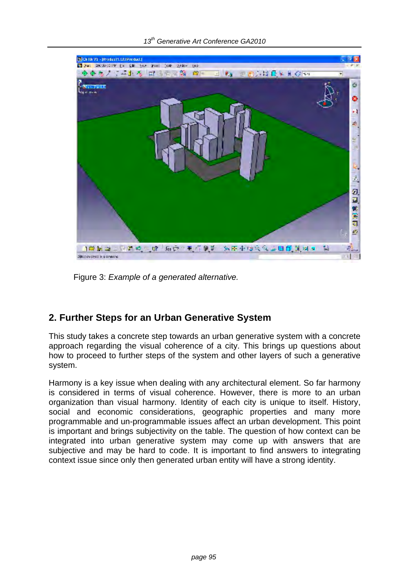

Figure 3: *Example of a generated alternative.*

# **2. Further Steps for an Urban Generative System**

This study takes a concrete step towards an urban generative system with a concrete approach regarding the visual coherence of a city. This brings up questions about how to proceed to further steps of the system and other layers of such a generative system.

Harmony is a key issue when dealing with any architectural element. So far harmony is considered in terms of visual coherence. However, there is more to an urban organization than visual harmony. Identity of each city is unique to itself. History, social and economic considerations, geographic properties and many more programmable and un-programmable issues affect an urban development. This point is important and brings subjectivity on the table. The question of how context can be integrated into urban generative system may come up with answers that are subjective and may be hard to code. It is important to find answers to integrating context issue since only then generated urban entity will have a strong identity.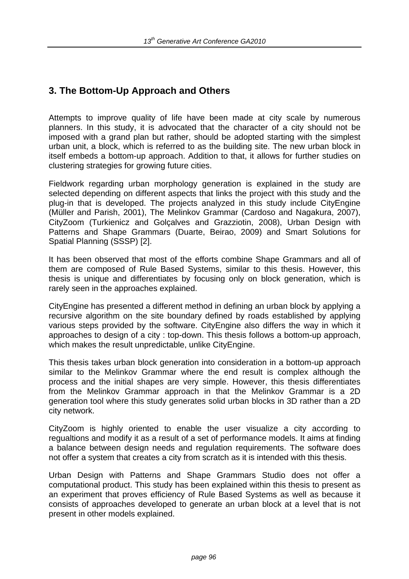# **3. The Bottom-Up Approach and Others**

Attempts to improve quality of life have been made at city scale by numerous planners. In this study, it is advocated that the character of a city should not be imposed with a grand plan but rather, should be adopted starting with the simplest urban unit, a block, which is referred to as the building site. The new urban block in itself embeds a bottom-up approach. Addition to that, it allows for further studies on clustering strategies for growing future cities.

Fieldwork regarding urban morphology generation is explained in the study are selected depending on different aspects that links the project with this study and the plug-in that is developed. The projects analyzed in this study include CityEngine (Müller and Parish, 2001), The Melinkov Grammar (Cardoso and Nagakura, 2007), CityZoom (Turkienicz and Golçalves and Grazziotin, 2008), Urban Design with Patterns and Shape Grammars (Duarte, Beirao, 2009) and Smart Solutions for Spatial Planning (SSSP) [2].

It has been observed that most of the efforts combine Shape Grammars and all of them are composed of Rule Based Systems, similar to this thesis. However, this thesis is unique and differentiates by focusing only on block generation, which is rarely seen in the approaches explained.

CityEngine has presented a different method in defining an urban block by applying a recursive algorithm on the site boundary defined by roads established by applying various steps provided by the software. CityEngine also differs the way in which it approaches to design of a city : top-down. This thesis follows a bottom-up approach, which makes the result unpredictable, unlike CityEngine.

This thesis takes urban block generation into consideration in a bottom-up approach similar to the Melinkov Grammar where the end result is complex although the process and the initial shapes are very simple. However, this thesis differentiates from the Melinkov Grammar approach in that the Melinkov Grammar is a 2D generation tool where this study generates solid urban blocks in 3D rather than a 2D city network.

CityZoom is highly oriented to enable the user visualize a city according to regualtions and modify it as a result of a set of performance models. It aims at finding a balance between design needs and regulation requirements. The software does not offer a system that creates a city from scratch as it is intended with this thesis.

Urban Design with Patterns and Shape Grammars Studio does not offer a computational product. This study has been explained within this thesis to present as an experiment that proves efficiency of Rule Based Systems as well as because it consists of approaches developed to generate an urban block at a level that is not present in other models explained.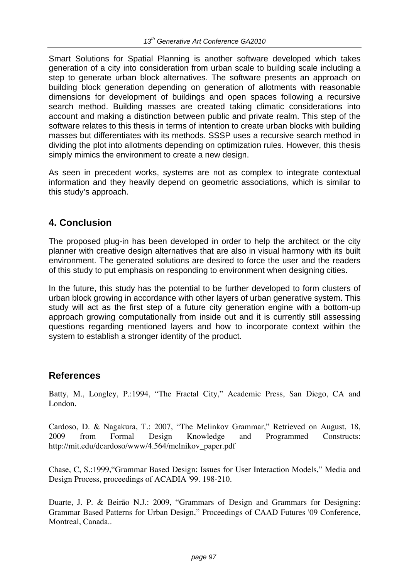Smart Solutions for Spatial Planning is another software developed which takes generation of a city into consideration from urban scale to building scale including a step to generate urban block alternatives. The software presents an approach on building block generation depending on generation of allotments with reasonable dimensions for development of buildings and open spaces following a recursive search method. Building masses are created taking climatic considerations into account and making a distinction between public and private realm. This step of the software relates to this thesis in terms of intention to create urban blocks with building masses but differentiates with its methods. SSSP uses a recursive search method in dividing the plot into allotments depending on optimization rules. However, this thesis simply mimics the environment to create a new design.

As seen in precedent works, systems are not as complex to integrate contextual information and they heavily depend on geometric associations, which is similar to this study's approach.

# **4. Conclusion**

The proposed plug-in has been developed in order to help the architect or the city planner with creative design alternatives that are also in visual harmony with its built environment. The generated solutions are desired to force the user and the readers of this study to put emphasis on responding to environment when designing cities.

In the future, this study has the potential to be further developed to form clusters of urban block growing in accordance with other layers of urban generative system. This study will act as the first step of a future city generation engine with a bottom-up approach growing computationally from inside out and it is currently still assessing questions regarding mentioned layers and how to incorporate context within the system to establish a stronger identity of the product.

# **References**

Batty, M., Longley, P.:1994, "The Fractal City," Academic Press, San Diego, CA and London.

Cardoso, D. & Nagakura, T.: 2007, "The Melinkov Grammar," Retrieved on August, 18, 2009 from Formal Design Knowledge and Programmed Constructs: http://mit.edu/dcardoso/www/4.564/melnikov\_paper.pdf

Chase, C, S.:1999,"Grammar Based Design: Issues for User Interaction Models," Media and Design Process, proceedings of ACADIA '99. 198-210.

Duarte, J. P. & Beirão N.J.: 2009, "Grammars of Design and Grammars for Designing: Grammar Based Patterns for Urban Design," Proceedings of CAAD Futures '09 Conference, Montreal, Canada..